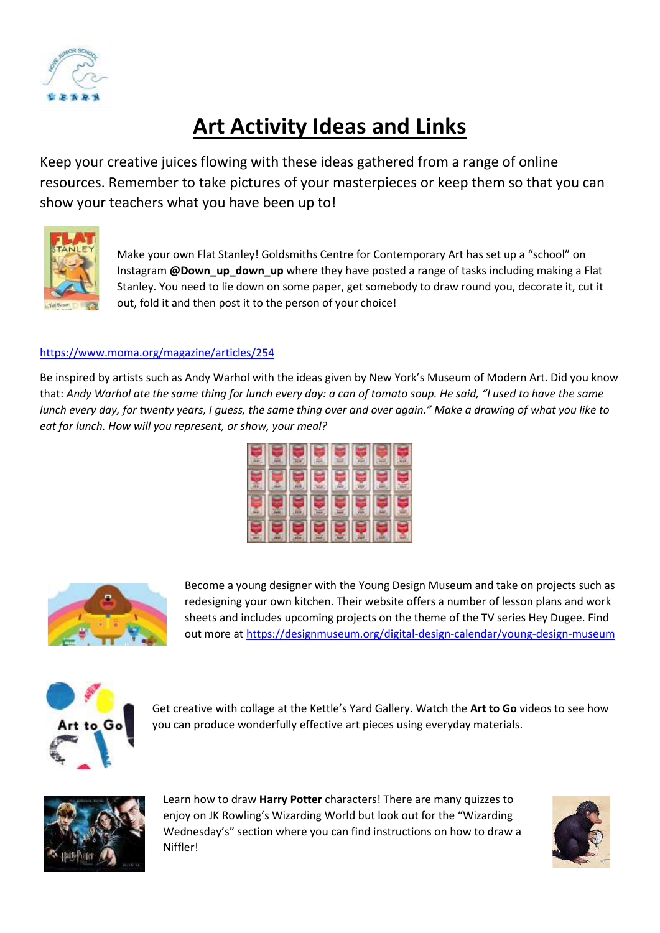

## **Art Activity Ideas and Links**

Keep your creative juices flowing with these ideas gathered from a range of online resources. Remember to take pictures of your masterpieces or keep them so that you can show your teachers what you have been up to!



Make your own Flat Stanley! Goldsmiths Centre for Contemporary Art has set up a "school" on Instagram **@Down\_up\_down\_up** where they have posted a range of tasks including making a Flat Stanley. You need to lie down on some paper, get somebody to draw round you, decorate it, cut it out, fold it and then post it to the person of your choice!

## <https://www.moma.org/magazine/articles/254>

Be inspired by artists such as Andy Warhol with the ideas given by New York's Museum of Modern Art. Did you know that: *Andy Warhol ate the same thing for lunch every day: a can of tomato soup. He said, "I used to have the same lunch every day, for twenty years, I guess, the same thing over and over again." Make a drawing of what you like to eat for lunch. How will you represent, or show, your meal?*



Become a young designer with the Young Design Museum and take on projects such as redesigning your own kitchen. Their website offers a number of lesson plans and work sheets and includes upcoming projects on the theme of the TV series Hey Dugee. Find out more at<https://designmuseum.org/digital-design-calendar/young-design-museum>



Get creative with collage at the Kettle's Yard Gallery. Watch the **Art to Go** videos to see how you can produce wonderfully effective art pieces using everyday materials.



Learn how to draw **Harry Potter** characters! There are many quizzes to enjoy on JK Rowling's Wizarding World but look out for the "Wizarding Wednesday's" section where you can find instructions on how to draw a Niffler!